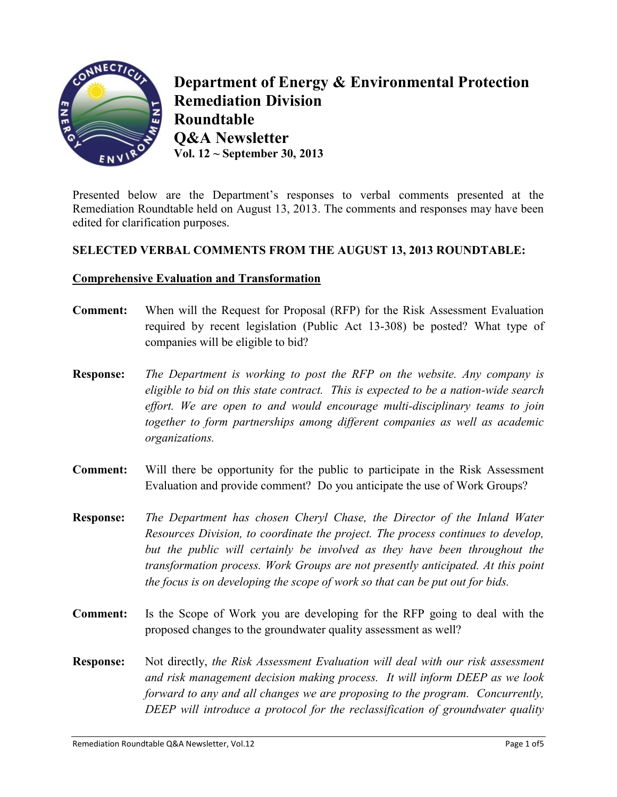

**Department of Energy & Environmental Protection Remediation Division Roundtable Q&A Newsletter Vol. 12 ~ September 30, 2013**

Presented below are the Department's responses to verbal comments presented at the Remediation Roundtable held on August 13, 2013. The comments and responses may have been edited for clarification purposes.

# **SELECTED VERBAL COMMENTS FROM THE AUGUST 13, 2013 ROUNDTABLE:**

### **Comprehensive Evaluation and Transformation**

- **Comment:** When will the Request for Proposal (RFP) for the Risk Assessment Evaluation required by recent legislation (Public Act 13-308) be posted? What type of companies will be eligible to bid?
- **Response:** *The Department is working to post the RFP on the website. Any company is eligible to bid on this state contract. This is expected to be a nation-wide search effort. We are open to and would encourage multi-disciplinary teams to join together to form partnerships among different companies as well as academic organizations.*
- **Comment:** Will there be opportunity for the public to participate in the Risk Assessment Evaluation and provide comment? Do you anticipate the use of Work Groups?
- **Response:** *The Department has chosen Cheryl Chase, the Director of the Inland Water Resources Division, to coordinate the project. The process continues to develop, but the public will certainly be involved as they have been throughout the transformation process. Work Groups are not presently anticipated. At this point the focus is on developing the scope of work so that can be put out for bids.*
- **Comment:** Is the Scope of Work you are developing for the RFP going to deal with the proposed changes to the groundwater quality assessment as well?
- **Response:** Not directly, *the Risk Assessment Evaluation will deal with our risk assessment and risk management decision making process. It will inform DEEP as we look forward to any and all changes we are proposing to the program. Concurrently, DEEP will introduce a protocol for the reclassification of groundwater quality*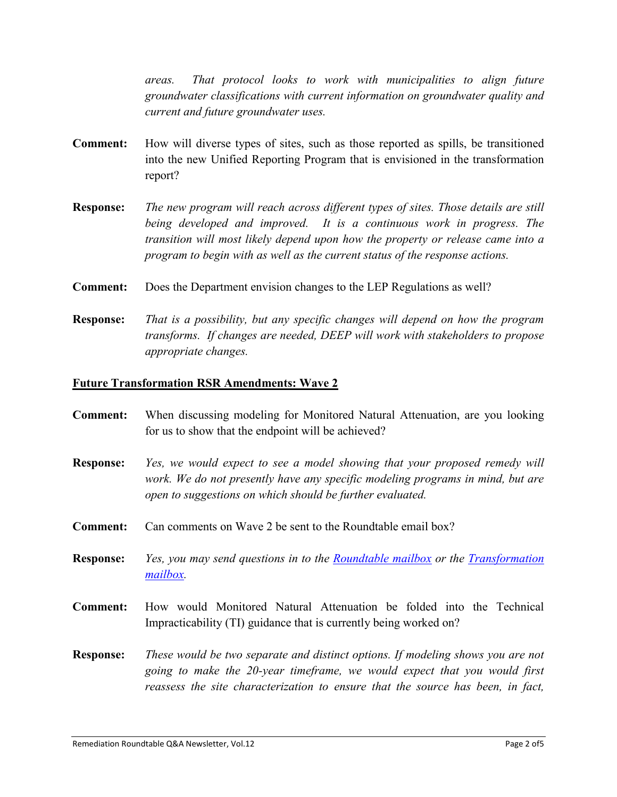*areas. That protocol looks to work with municipalities to align future groundwater classifications with current information on groundwater quality and current and future groundwater uses.*

- **Comment:** How will diverse types of sites, such as those reported as spills, be transitioned into the new Unified Reporting Program that is envisioned in the transformation report?
- **Response:** *The new program will reach across different types of sites. Those details are still being developed and improved. It is a continuous work in progress. The transition will most likely depend upon how the property or release came into a program to begin with as well as the current status of the response actions.*
- **Comment:** Does the Department envision changes to the LEP Regulations as well?
- **Response:** *That is a possibility, but any specific changes will depend on how the program transforms. If changes are needed, DEEP will work with stakeholders to propose appropriate changes.*

#### **Future Transformation RSR Amendments: Wave 2**

**Comment:** When discussing modeling for Monitored Natural Attenuation, are you looking for us to show that the endpoint will be achieved? **Response:** *Yes, we would expect to see a model showing that your proposed remedy will work. We do not presently have any specific modeling programs in mind, but are open to suggestions on which should be further evaluated.* **Comment:** Can comments on Wave 2 be sent to the Roundtable email box? **Response:** *Yes, you may send questions in to the [Roundtable mailbox](mailto:DEEP.RemediationRoundtable@ct.gov) or the [Transformation](mailto:DEEP.cleanup.transform@ct.gov)  [mailbox.](mailto:DEEP.cleanup.transform@ct.gov)* **Comment:** How would Monitored Natural Attenuation be folded into the Technical Impracticability (TI) guidance that is currently being worked on? **Response:** *These would be two separate and distinct options. If modeling shows you are not going to make the 20-year timeframe, we would expect that you would first reassess the site characterization to ensure that the source has been, in fact,*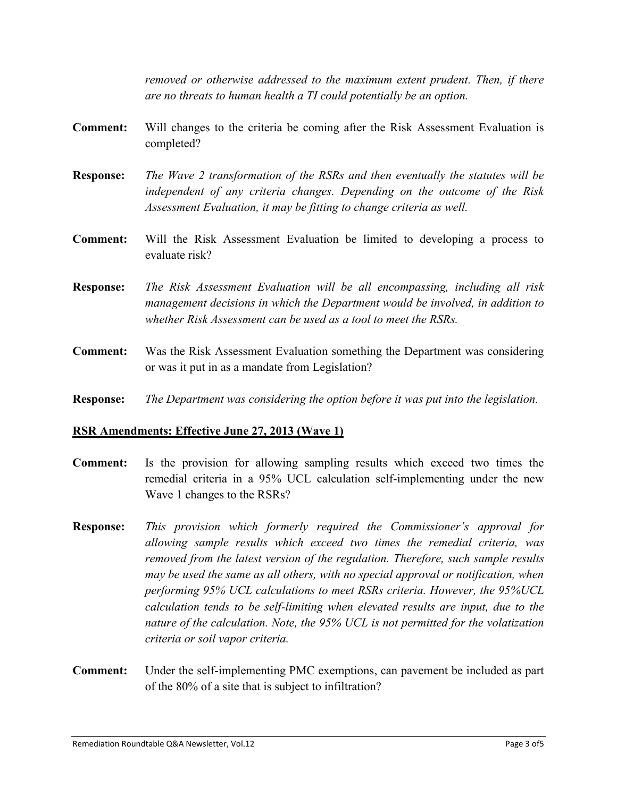*removed or otherwise addressed to the maximum extent prudent. Then, if there are no threats to human health a TI could potentially be an option.*

- **Comment:** Will changes to the criteria be coming after the Risk Assessment Evaluation is completed?
- **Response:** *The Wave 2 transformation of the RSRs and then eventually the statutes will be independent of any criteria changes. Depending on the outcome of the Risk Assessment Evaluation, it may be fitting to change criteria as well.*
- **Comment:** Will the Risk Assessment Evaluation be limited to developing a process to evaluate risk?
- **Response:** *The Risk Assessment Evaluation will be all encompassing, including all risk management decisions in which the Department would be involved, in addition to whether Risk Assessment can be used as a tool to meet the RSRs.*
- **Comment:** Was the Risk Assessment Evaluation something the Department was considering or was it put in as a mandate from Legislation?
- **Response:** *The Department was considering the option before it was put into the legislation.*

#### **RSR Amendments: Effective June 27, 2013 (Wave 1)**

- **Comment:** Is the provision for allowing sampling results which exceed two times the remedial criteria in a 95% UCL calculation self-implementing under the new Wave 1 changes to the RSRs?
- **Response:** *This provision which formerly required the Commissioner's approval for allowing sample results which exceed two times the remedial criteria, was removed from the latest version of the regulation. Therefore, such sample results may be used the same as all others, with no special approval or notification, when performing 95% UCL calculations to meet RSRs criteria. However, the 95%UCL calculation tends to be self-limiting when elevated results are input, due to the nature of the calculation. Note, the 95% UCL is not permitted for the volatization criteria or soil vapor criteria.*
- **Comment:** Under the self-implementing PMC exemptions, can pavement be included as part of the 80% of a site that is subject to infiltration?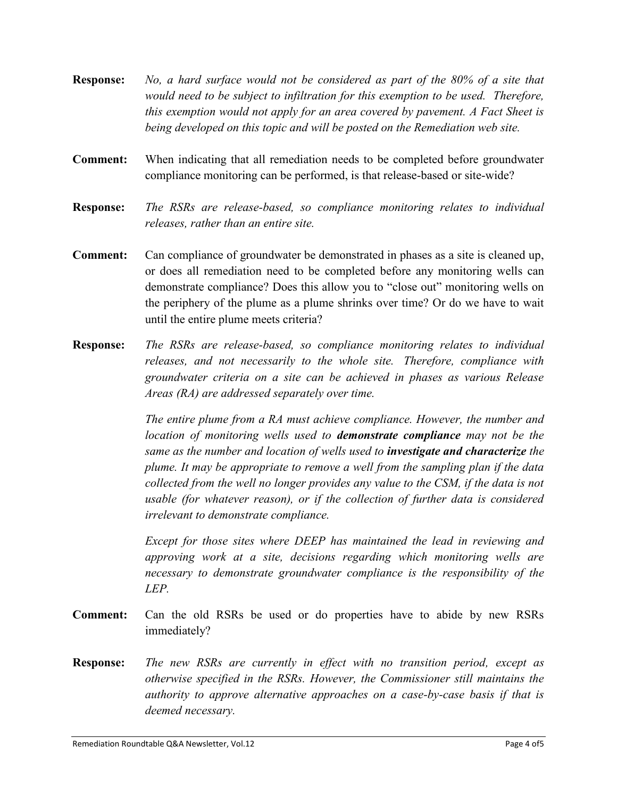- **Response:** *No, a hard surface would not be considered as part of the 80% of a site that would need to be subject to infiltration for this exemption to be used. Therefore, this exemption would not apply for an area covered by pavement. A Fact Sheet is being developed on this topic and will be posted on the Remediation web site.*
- **Comment:** When indicating that all remediation needs to be completed before groundwater compliance monitoring can be performed, is that release-based or site-wide?
- **Response:** *The RSRs are release-based, so compliance monitoring relates to individual releases, rather than an entire site.*
- **Comment:** Can compliance of groundwater be demonstrated in phases as a site is cleaned up, or does all remediation need to be completed before any monitoring wells can demonstrate compliance? Does this allow you to "close out" monitoring wells on the periphery of the plume as a plume shrinks over time? Or do we have to wait until the entire plume meets criteria?
- **Response:** *The RSRs are release-based, so compliance monitoring relates to individual releases, and not necessarily to the whole site. Therefore, compliance with groundwater criteria on a site can be achieved in phases as various Release Areas (RA) are addressed separately over time.*

*The entire plume from a RA must achieve compliance. However, the number and location of monitoring wells used to demonstrate compliance may not be the same as the number and location of wells used to investigate and characterize the plume. It may be appropriate to remove a well from the sampling plan if the data collected from the well no longer provides any value to the CSM, if the data is not usable (for whatever reason), or if the collection of further data is considered irrelevant to demonstrate compliance.* 

*Except for those sites where DEEP has maintained the lead in reviewing and approving work at a site, decisions regarding which monitoring wells are necessary to demonstrate groundwater compliance is the responsibility of the LEP.*

- **Comment:** Can the old RSRs be used or do properties have to abide by new RSRs immediately?
- **Response:** *The new RSRs are currently in effect with no transition period, except as otherwise specified in the RSRs. However, the Commissioner still maintains the authority to approve alternative approaches on a case-by-case basis if that is deemed necessary.*